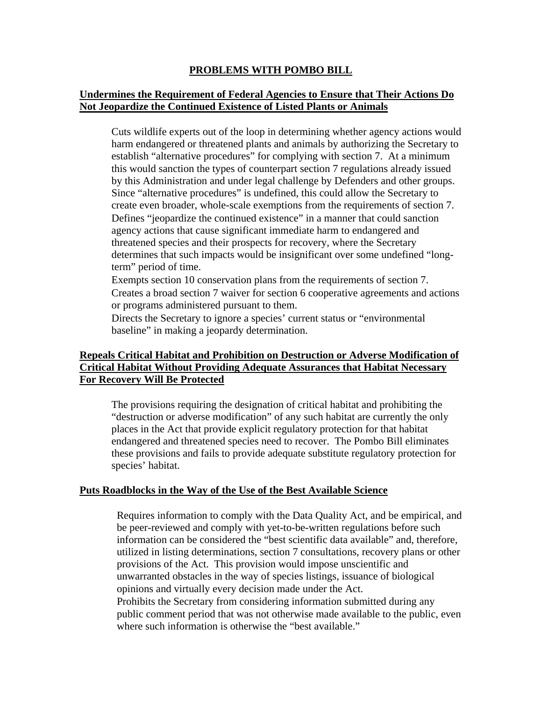### **PROBLEMS WITH POMBO BILL**

## **Undermines the Requirement of Federal Agencies to Ensure that Their Actions Do Not Jeopardize the Continued Existence of Listed Plants or Animals**

Cuts wildlife experts out of the loop in determining whether agency actions would harm endangered or threatened plants and animals by authorizing the Secretary to establish "alternative procedures" for complying with section 7. At a minimum this would sanction the types of counterpart section 7 regulations already issued by this Administration and under legal challenge by Defenders and other groups. Since "alternative procedures" is undefined, this could allow the Secretary to create even broader, whole-scale exemptions from the requirements of section 7. Defines "jeopardize the continued existence" in a manner that could sanction agency actions that cause significant immediate harm to endangered and threatened species and their prospects for recovery, where the Secretary determines that such impacts would be insignificant over some undefined "longterm" period of time.

Exempts section 10 conservation plans from the requirements of section 7. Creates a broad section 7 waiver for section 6 cooperative agreements and actions or programs administered pursuant to them.

Directs the Secretary to ignore a species' current status or "environmental baseline" in making a jeopardy determination.

# **Repeals Critical Habitat and Prohibition on Destruction or Adverse Modification of Critical Habitat Without Providing Adequate Assurances that Habitat Necessary For Recovery Will Be Protected**

The provisions requiring the designation of critical habitat and prohibiting the "destruction or adverse modification" of any such habitat are currently the only places in the Act that provide explicit regulatory protection for that habitat endangered and threatened species need to recover. The Pombo Bill eliminates these provisions and fails to provide adequate substitute regulatory protection for species' habitat.

### **Puts Roadblocks in the Way of the Use of the Best Available Science**

Requires information to comply with the Data Quality Act, and be empirical, and be peer-reviewed and comply with yet-to-be-written regulations before such information can be considered the "best scientific data available" and, therefore, utilized in listing determinations, section 7 consultations, recovery plans or other provisions of the Act. This provision would impose unscientific and unwarranted obstacles in the way of species listings, issuance of biological opinions and virtually every decision made under the Act. Prohibits the Secretary from considering information submitted during any public comment period that was not otherwise made available to the public, even where such information is otherwise the "best available."